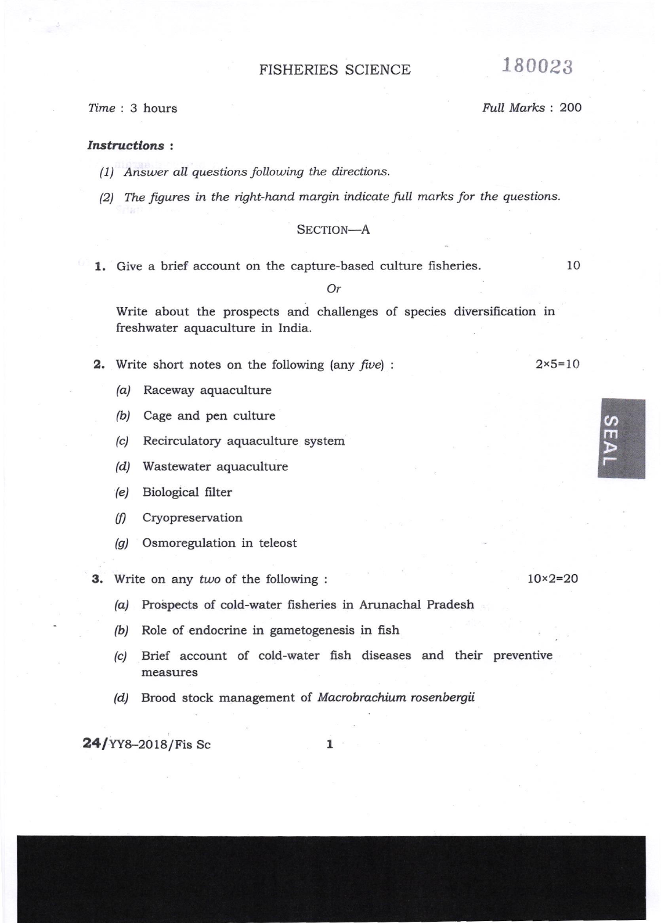# FISHERIES SCIENCE 180023

# ftme : 3 hours Full Marks : 2OO

#### Instructions :

- (1) Answer all questions follouing the directions.
- (2) The figures in the right-hand margin indicate full marks for the questions.

## SECTION-A

1. Give a brief account on the capture-based culture fisheries.  $10$ 

Or

Write about the prospects and challenges of species diversification in freshwater aquaculture in India.

- **2.** Write short notes on the following (any  $five$ ) :
	- /a/ Raceway aquaculture
	- (b) Cage and pen culture
	- (c) Recirculatory aquaculture system
	- /d/ Wastewater aquaculture
	- (e) Biological filter
	- (f) Cryopreservation
	- @) Osmoregulation in teleost

3. Write on any two of the following :  $10 \times 2 = 20$ 

- (a) Prospects of cold-water fisheries in Arunachal Pradesh
- (b) Role of endocrine in gametogenesis in fish
- (c) Brief account of cold-water fish diseases and their preventive measures
- (d) Brood stock management of Macrobrachium rosenbergii

 $24$ /YY8-2018/Fis Sc  $1$ 

@ m

 $2 \times 5 = 10$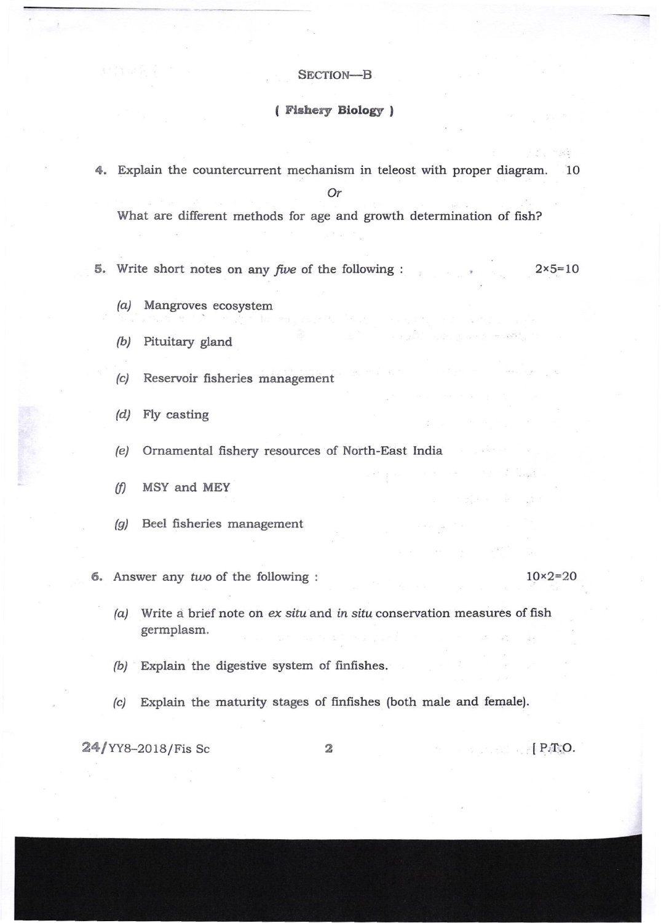# SECTION-B

# ( Fishery Biology )

4. Explain the countercurrent mechanism in teleost with proper diagram. 10

Or

What are different methods for age and growth determination of fish?

- 5. Write short notes on any *five* of the following :
- $2 \times 5 = 10$

- (a) Mangroves ecosystem
- (b/ Pituitary gland
- (c) Reservoir fisheries management
- (d) Fly casting
- (e) Ornamental fishery resources of North-East India
- $(f)$  MSY and MEY
- (g) Beel fisheries management
- 6. Answer any two of the following :

#### 1Ox2=2O

- $(a)$  Write a brief note on  $ex$  situ and in situ conservation measures of fish germplasm.
- $(b)$  Explain the digestive system of finfishes.
- (c) Explain the maturity stages of finfishes (both male and female).

 $24$ /YY8-2018/Fis Sc 2 2 | P.T.O.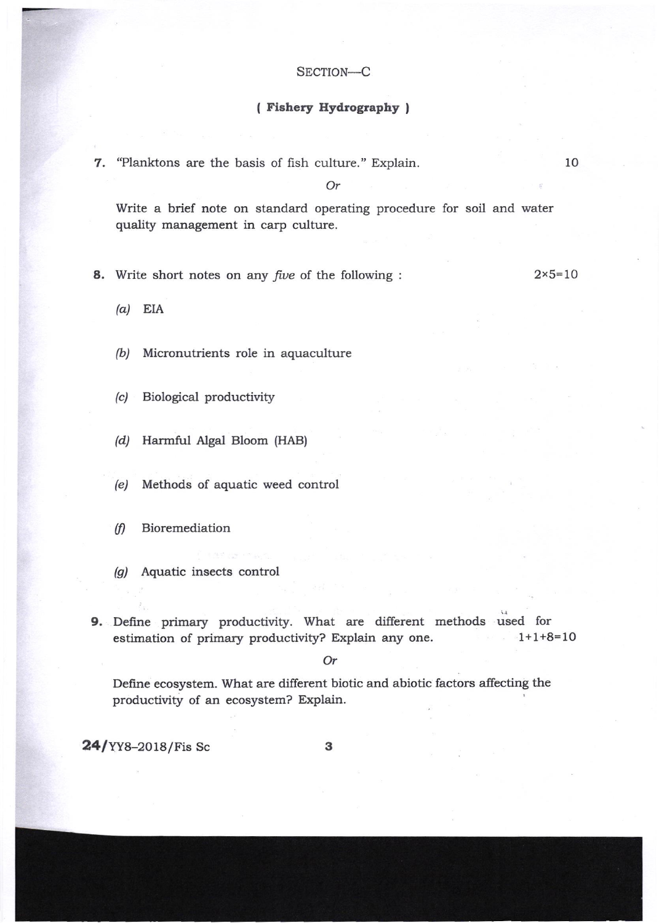# SECTION-C

# ( Fishery Hydrography )

7. "Planktons are the basis of fish culture." Explain.

Or

Write a brief note on standard operating procedure for soil and water quality management in carp culture.

8. Write short notes on any *five* of the following :

 $2 \times 5 = 10$ 

10

 $(a)$  EIA

(b) Micronutrients role in aquaculture

(c) Biological productivity

(d) Harmful Algal Bloom (HAB)

(e) Methods of aquatic weed control

 $(f)$  Bioremediation

(g) Aquatic insects control

9. Define primary productivity. What are different methods used for estimation of primary productivity? Explain any one.  $-1+1+8=10$ 

Or

Define ecosystem. What are different biotic and abiotic factors affecting the productivity of an ecosystem? Explain.

 $24$ /YY8-2018/Fis Sc

3